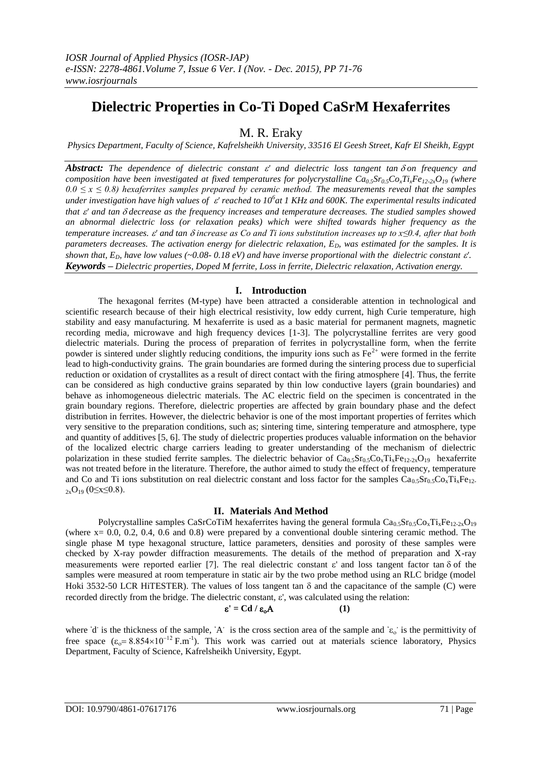# **Dielectric Properties in Co-Ti Doped CaSrM Hexaferrites**

M. R. Eraky

*Physics Department, Faculty of Science, Kafrelsheikh University, 33516 El Geesh Street, Kafr El Sheikh, Egypt*

*Abstract: The dependence of dielectric constant ' and dielectric loss tangent tanon frequency and composition have been investigated at fixed <i>temperatures* for polycrystalline  $Ca_0Sr_0SC_2T_iFe_{12-2x}O_{19}$  (where  $0.0 \le x \le 0.8$ ) hexaferrites samples prepared by ceramic method. The measurements reveal that the samples *under investigation have high values of ' reached to 10<sup>6</sup> at 1 KHz and 600K. The experimental results indicated that*  $\varepsilon'$  *and tan*  $\delta$  *decrease as the frequency increases and temperature decreases. The studied samples showed an abnormal dielectric loss (or relaxation peaks) which were shifted towards higher frequency as the temperature increases. ' and tan increase as Co and Ti ions substitution increases up to x≤0.4, after that both parameters decreases. The activation energy for dielectric relaxation, ED, was estimated for the samples. It is shown that,*  $E_{D}$  *have low values (~0.08-0.18 eV) and have inverse proportional with the dielectric constant*  $\varepsilon'$ *. Keywords – Dielectric properties, Doped M ferrite, Loss in ferrite, Dielectric relaxation, Activation energy.* 

## **I. Introduction**

The hexagonal ferrites (M-type) have been attracted a considerable attention in technological and scientific research because of their high electrical resistivity, low eddy current, high Curie temperature, high stability and easy manufacturing. M hexaferrite is used as a basic material for permanent magnets, magnetic recording media, microwave and high frequency devices [1-3]. The polycrystalline ferrites are very good dielectric materials. During the process of preparation of ferrites in polycrystalline form, when the ferrite powder is sintered under slightly reducing conditions, the impurity ions such as  $Fe^{2+}$  were formed in the ferrite lead to high-conductivity grains. The grain boundaries are formed during the sintering process due to superficial reduction or oxidation of crystallites as a result of direct contact with the firing atmosphere [4]. Thus, the ferrite can be considered as high conductive grains separated by thin low conductive layers (grain boundaries) and behave as inhomogeneous dielectric materials. The AC electric field on the specimen is concentrated in the grain boundary regions. Therefore, dielectric properties are affected by grain boundary phase and the defect distribution in ferrites. However, the dielectric behavior is one of the most important properties of ferrites which very sensitive to the preparation conditions, such as; sintering time, sintering temperature and atmosphere, type and quantity of additives [5, 6]. The study of dielectric properties produces valuable information on the behavior of the localized electric charge carriers leading to greater understanding of the mechanism of dielectric polarization in these studied ferrite samples. The dielectric behavior of  $Ca_{0.5}Sr_{0.5}Co_{x}Ti_{x}Fe_{12-2x}O_{19}$  hexaferrite was not treated before in the literature. Therefore, the author aimed to study the effect of frequency, temperature and Co and Ti ions substitution on real dielectric constant and loss factor for the samples  $Ca_{0.5}Sr_{0.5}Co_{x}Ti_{x}Fe_{12}$  $_{2x}O_{19}$  (0≤x≤0.8).

## **II. Materials And Method**

Polycrystalline samples CaSrCoTiM hexaferrites having the general formula  $Ca_{0.5}Sr_{0.5}Co_xTi_xFe_{12-2x}O_{19}$ (where x= 0.0, 0.2, 0.4, 0.6 and 0.8) were prepared by a conventional double sintering ceramic method. The single phase M type hexagonal structure, lattice parameters, densities and porosity of these samples were checked by X-ray powder diffraction measurements. The details of the method of preparation and X-ray measurements were reported earlier [7]. The real dielectric constant  $\varepsilon'$  and loss tangent factor tan  $\delta$  of the samples were measured at room temperature in static air by the two probe method using an RLC bridge (model Hoki 3532-50 LCR HiTESTER). The values of loss tangent tan  $\delta$  and the capacitance of the sample (C) were recorded directly from the bridge. The dielectric constant,  $\varepsilon'$ , was calculated using the relation:

$$
\varepsilon' = C d / \varepsilon_o A \tag{1}
$$

where 'd' is the thickness of the sample, 'A' is the cross section area of the sample and ' $\varepsilon_0$ ' is the permittivity of free space  $(\epsilon_0 = 8.854 \times 10^{-12} \text{ F.m}^{-1})$ . This work was carried out at materials science laboratory, Physics Department, Faculty of Science, Kafrelsheikh University, Egypt.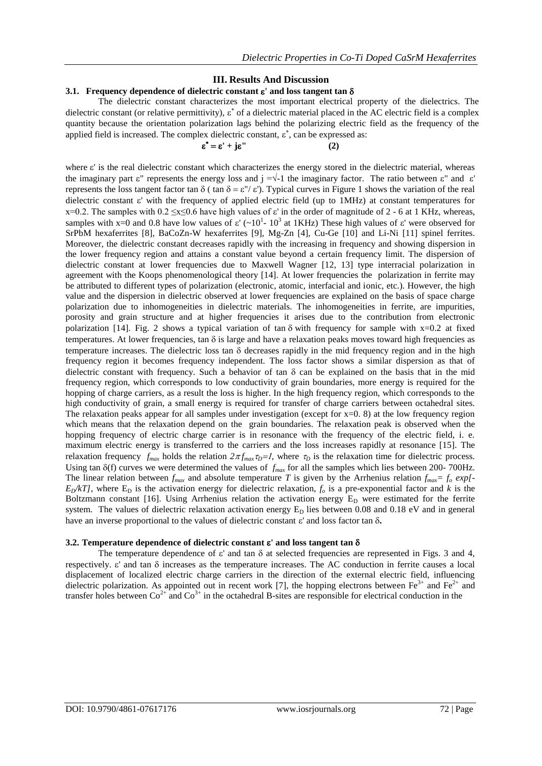## **III. Results And Discussion**

## **3.1. Frequency dependence of dielectric constant ' and loss tangent tan**

The dielectric constant characterizes the most important electrical property of the dielectrics. The dielectric constant (or relative permittivity),  $\varepsilon^*$  of a dielectric material placed in the AC electric field is a complex quantity because the orientation polarization lags behind the polarizing electric field as the frequency of the applied field is increased. The complex dielectric constant,  $\varepsilon^*$ , can be expressed as:

$$
\varepsilon^* = \varepsilon' + j\varepsilon'' \tag{2}
$$

where  $\varepsilon'$  is the real dielectric constant which characterizes the energy stored in the dielectric material, whereas the imaginary part  $\varepsilon$ " represents the energy loss and j = $\sqrt{-1}$  the imaginary factor. The ratio between  $\varepsilon$ " and  $\varepsilon$ ' represents the loss tangent factor tan  $\delta$  (tan  $\delta = \varepsilon''/ \varepsilon'$ ). Typical curves in Figure 1 shows the variation of the real dielectric constant  $\varepsilon'$  with the frequency of applied electric field (up to 1MHz) at constant temperatures for x=0.2. The samples with  $0.2 \le x \le 0.6$  have high values of  $\varepsilon'$  in the order of magnitude of 2 - 6 at 1 KHz, whereas, samples with x=0 and 0.8 have low values of  $\varepsilon'$  ( $\sim 10^1$ -  $10^3$  at 1KHz) These high values of  $\varepsilon'$  were observed for SrPbM hexaferrites [8], BaCoZn-W hexaferrites [9], Mg-Zn [4], Cu-Ge [10] and Li-Ni [11] spinel ferrites. Moreover, the dielectric constant decreases rapidly with the increasing in frequency and showing dispersion in the lower frequency region and attains a constant value beyond a certain frequency limit. The dispersion of dielectric constant at lower frequencies due to Maxwell Wagner [12, 13] type interracial polarization in agreement with the Koops phenomenological theory [14]. At lower frequencies the polarization in ferrite may be attributed to different types of polarization (electronic, atomic, interfacial and ionic, etc.). However, the high value and the dispersion in dielectric observed at lower frequencies are explained on the basis of space charge polarization due to inhomogeneities in dielectric materials. The inhomogeneities in ferrite, are impurities, porosity and grain structure and at higher frequencies it arises due to the contribution from electronic polarization [14]. Fig. 2 shows a typical variation of tan  $\delta$  with frequency for sample with x=0.2 at fixed temperatures. At lower frequencies, tan  $\delta$  is large and have a relaxation peaks moves toward high frequencies as temperature increases. The dielectric loss tan  $\delta$  decreases rapidly in the mid frequency region and in the high frequency region it becomes frequency independent. The loss factor shows a similar dispersion as that of dielectric constant with frequency. Such a behavior of tan  $\delta$  can be explained on the basis that in the mid frequency region, which corresponds to low conductivity of grain boundaries, more energy is required for the hopping of charge carriers, as a result the loss is higher. In the high frequency region, which corresponds to the high conductivity of grain, a small energy is required for transfer of charge carriers between octahedral sites. The relaxation peaks appear for all samples under investigation (except for  $x=0$ . 8) at the low frequency region which means that the relaxation depend on the grain boundaries. The relaxation peak is observed when the hopping frequency of electric charge carrier is in resonance with the frequency of the electric field, i. e. maximum electric energy is transferred to the carriers and the loss increases rapidly at resonance [15]. The relaxation frequency  $f_{max}$  holds the relation  $2\pi f_{max}\tau_D = 1$ , where  $\tau_D$  is the relaxation time for dielectric process. Using tan  $\delta(f)$  curves we were determined the values of  $f_{max}$  for all the samples which lies between 200- 700Hz. The linear relation between  $f_{max}$  and absolute temperature *T* is given by the Arrhenius relation  $f_{max} = f_o exp[ E_D/kT$ , where  $E_D$  is the activation energy for dielectric relaxation,  $f_o$  is a pre-exponential factor and *k* is the Boltzmann constant [16]. Using Arrhenius relation the activation energy  $E_D$  were estimated for the ferrite system. The values of dielectric relaxation activation energy  $E_D$  lies between 0.08 and 0.18 eV and in general have an inverse proportional to the values of dielectric constant  $\varepsilon'$  and loss factor tan  $\delta$ .

### **3.2. Temperature dependence of dielectric constant ' and loss tangent tan**

The temperature dependence of  $\varepsilon'$  and tan  $\delta$  at selected frequencies are represented in Figs. 3 and 4, respectively.  $\varepsilon'$  and tan  $\delta$  increases as the temperature increases. The AC conduction in ferrite causes a local displacement of localized electric charge carriers in the direction of the external electric field, influencing dielectric polarization. As appointed out in recent work [7], the hopping electrons between  $Fe^{3+}$  and  $Fe^{2+}$  and transfer holes between  $\text{Co}^{2+}$  and  $\text{Co}^{3+}$  in the octahedral B-sites are responsible for electrical conduction in the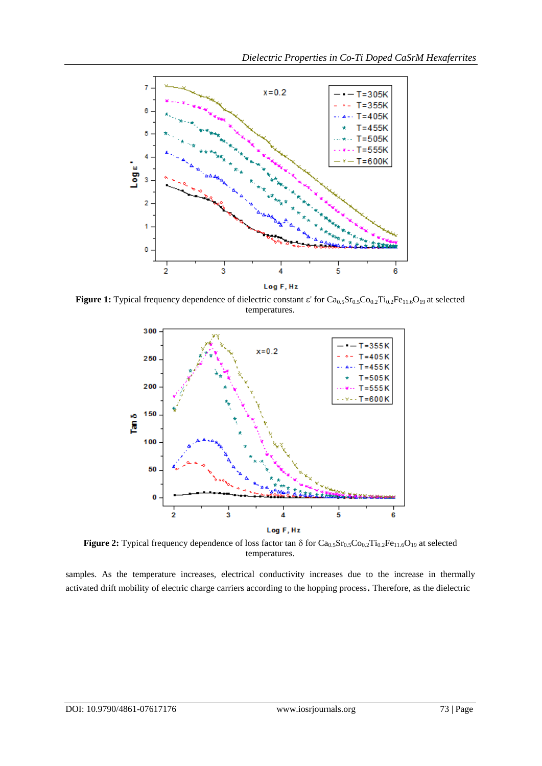

Figure 1: Typical frequency dependence of dielectric constant  $\varepsilon'$  for Ca<sub>0.5</sub>Sr<sub>0.5</sub>Co<sub>0.2</sub>Ti<sub>0.2</sub>Fe<sub>11.6</sub>O<sub>19</sub> at selected temperatures.



**Figure 2:** Typical frequency dependence of loss factor tan  $\delta$  for  $Ca_{0.5}Sr_{0.5}Co_{0.2}Ti_{0.2}Fe_{11.6}O_{19}$  at selected temperatures.

samples. As the temperature increases, electrical conductivity increases due to the increase in thermally activated drift mobility of electric charge carriers according to the hopping process. Therefore, as the dielectric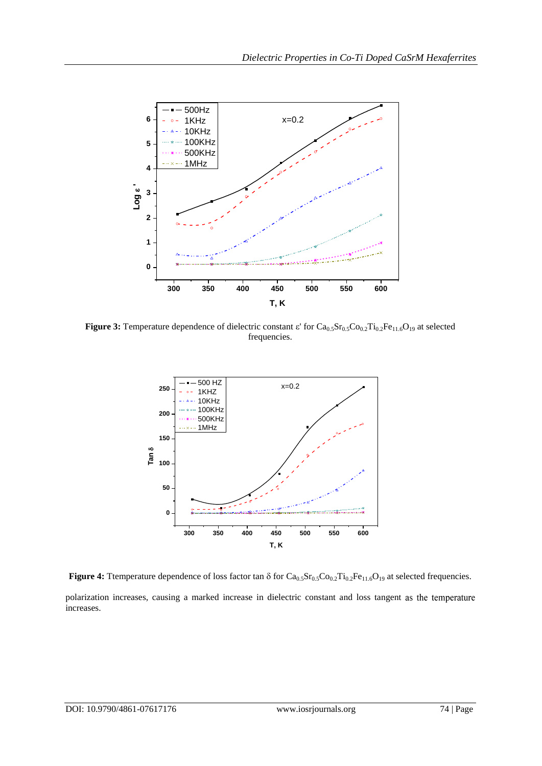

**Figure 3:** Temperature dependence of dielectric constant  $\varepsilon'$  for  $Ca_{0.5}Sr_{0.5}Co_{0.2}Ti_{0.2}Fe_{11.6}O_{19}$  at selected frequencies.



**Figure 4:** Ttemperature dependence of loss factor tan  $\delta$  for  $Ca_{0.5}Sr_{0.5}Co_{0.2}Ti_{0.2}Fe_{11.6}O_{19}$  at selected frequencies.

polarization increases, causing a marked increase in dielectric constant and loss tangent as the temperature increases.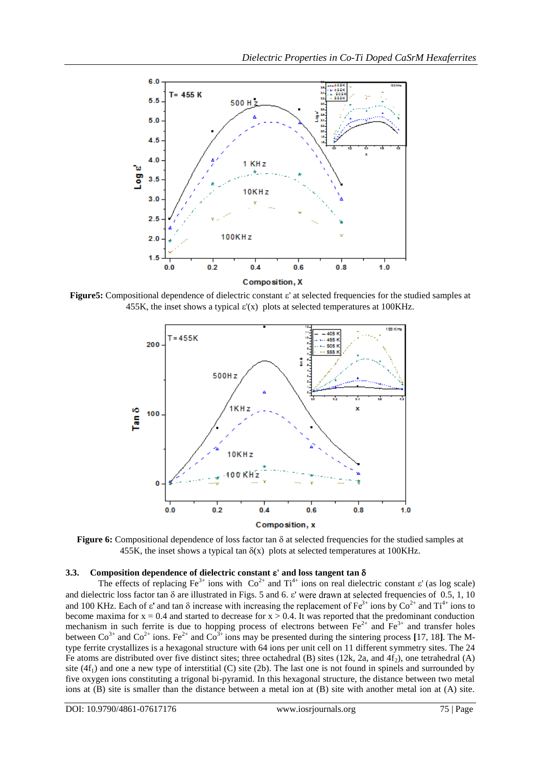

**Figure5:** Compositional dependence of dielectric constant  $\varepsilon'$  at selected frequencies for the studied samples at 455K, the inset shows a typical  $\varepsilon'(x)$  plots at selected temperatures at 100KHz.



**Figure 6:** Compositional dependence of loss factor tan  $\delta$  at selected frequencies for the studied samples at 455K, the inset shows a typical tan  $\delta(x)$  plots at selected temperatures at 100KHz.

# **3.3. Composition dependence of dielectric constant ' and loss tangent tan**

The effects of replacing Fe<sup>3+</sup> ions with  $Co^{2+}$  and  $Ti^{4+}$  ions on real dielectric constant  $\varepsilon'$  (as log scale) and dielectric loss factor tan  $\delta$  are illustrated in Figs. 5 and 6.  $\varepsilon$ ' were drawn at selected frequencies of 0.5, 1, 10 and 100 KHz. Each of  $\varepsilon'$  and tan  $\delta$  increase with increasing the replacement of  $Fe^{3+}$  ions by  $Co^{2+}$  and  $Ti^{4+}$  ions to become maxima for  $x = 0.4$  and started to decrease for  $x > 0.4$ . It was reported that the predominant conduction mechanism in such ferrite is due to hopping process of electrons between  $Fe^{2+}$  and  $Fe^{3+}$  and transfer holes between  $Co^{3+}$  and  $Co^{2+}$  ions. Fe<sup>2+</sup> and  $Co^{3+}$  ions may be presented during the sintering process [17, 18]. The Mtype ferrite crystallizes is a hexagonal structure with 64 ions per unit cell on 11 different symmetry sites. The 24 Fe atoms are distributed over five distinct sites; three octahedral (B) sites (12k, 2a, and 4f<sub>2</sub>), one tetrahedral (A) site  $(4f<sub>1</sub>)$  and one a new type of interstitial (C) site (2b). The last one is not found in spinels and surrounded by five oxygen ions constituting a trigonal bi-pyramid. In this hexagonal structure, the distance between two metal ions at (B) site is smaller than the distance between a metal ion at (B) site with another metal ion at (A) site.